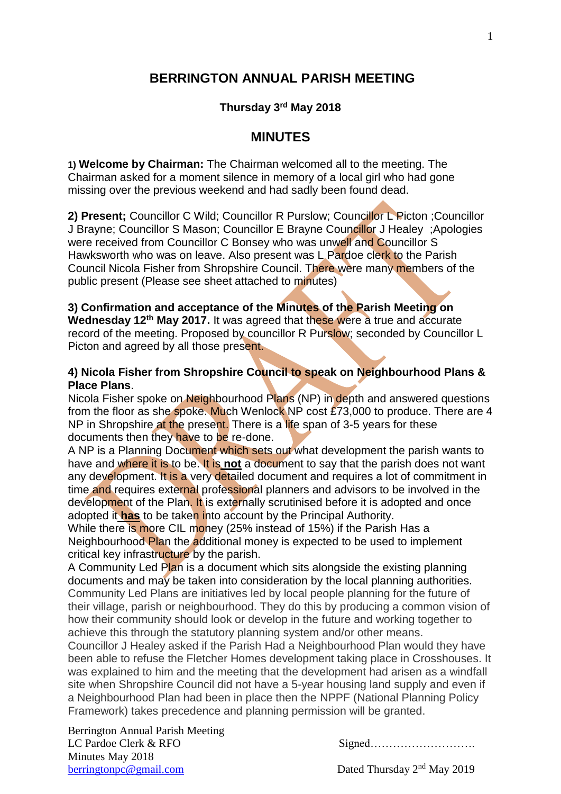## **BERRINGTON ANNUAL PARISH MEETING**

### **Thursday 3 rd May 2018**

## **MINUTES**

**1) Welcome by Chairman:** The Chairman welcomed all to the meeting. The Chairman asked for a moment silence in memory of a local girl who had gone missing over the previous weekend and had sadly been found dead.

**2) Present;** Councillor C Wild; Councillor R Purslow; Councillor L Picton ;Councillor J Brayne; Councillor S Mason; Councillor E Brayne Councillor J Healey ; Apologies were received from Councillor C Bonsey who was unwell and Councillor S Hawksworth who was on leave. Also present was L Pardoe clerk to the Parish Council Nicola Fisher from Shropshire Council. There were many members of the public present (Please see sheet attached to minutes)

# **3) Confirmation and acceptance of the Minutes of the Parish Meeting on**

Wednesday 12<sup>th</sup> May 2017. It was agreed that these were a true and accurate record of the meeting. Proposed by councillor R Purslow; seconded by Councillor L Picton and agreed by all those present.

#### **4) Nicola Fisher from Shropshire Council to speak on Neighbourhood Plans & Place Plans**.

Nicola Fisher spoke on Neighbourhood Plans (NP) in depth and answered questions from the floor as she spoke. Much Wenlock NP cost £73,000 to produce. There are 4 NP in Shropshire at the present. There is a life span of 3-5 years for these documents then they have to be re-done.

A NP is a Planning Document which sets out what development the parish wants to have and where it is to be. It is **not** a document to say that the parish does not want any development. It is a very detailed document and requires a lot of commitment in time and requires external professional planners and advisors to be involved in the development of the Plan. It is externally scrutinised before it is adopted and once adopted it **has** to be taken into account by the Principal Authority.

While there is more CIL money (25% instead of 15%) if the Parish Has a Neighbourhood Plan the additional money is expected to be used to implement critical key infrastructure by the parish.

A Community Led Plan is a document which sits alongside the existing planning documents and may be taken into consideration by the local planning authorities. Community Led Plans are initiatives led by local people planning for the future of their village, parish or neighbourhood. They do this by producing a common vision of how their community should look or develop in the future and working together to achieve this through the statutory planning system and/or other means.

Councillor J Healey asked if the Parish Had a Neighbourhood Plan would they have been able to refuse the Fletcher Homes development taking place in Crosshouses. It was explained to him and the meeting that the development had arisen as a windfall site when Shropshire Council did not have a 5-year housing land supply and even if a Neighbourhood Plan had been in place then the NPPF (National Planning Policy Framework) takes precedence and planning permission will be granted.

Berrington Annual Parish Meeting LC Pardoe Clerk & RFO Signed………………………. Minutes May 2018 [berringtonpc@gmail.com](mailto:berringtonpc@gmail.com) Dated Thursday 2<sup>nd</sup> May 2019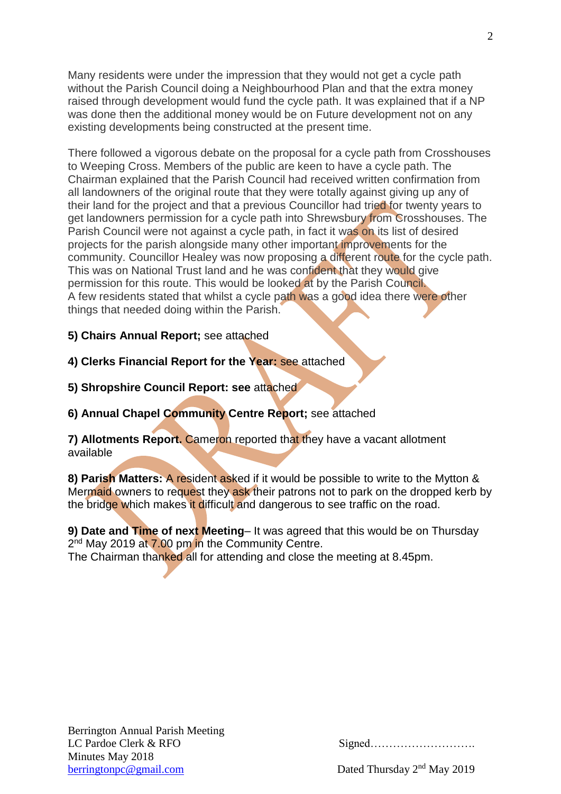Many residents were under the impression that they would not get a cycle path without the Parish Council doing a Neighbourhood Plan and that the extra money raised through development would fund the cycle path. It was explained that if a NP was done then the additional money would be on Future development not on any existing developments being constructed at the present time.

There followed a vigorous debate on the proposal for a cycle path from Crosshouses to Weeping Cross. Members of the public are keen to have a cycle path. The Chairman explained that the Parish Council had received written confirmation from all landowners of the original route that they were totally against giving up any of their land for the project and that a previous Councillor had tried for twenty years to get landowners permission for a cycle path into Shrewsbury from Crosshouses. The Parish Council were not against a cycle path, in fact it was on its list of desired projects for the parish alongside many other important improvements for the community. Councillor Healey was now proposing a different route for the cycle path. This was on National Trust land and he was confident that they would give permission for this route. This would be looked at by the Parish Council. A few residents stated that whilst a cycle path was a good idea there were other things that needed doing within the Parish.

**5) Chairs Annual Report;** see attached

**4) Clerks Financial Report for the Year:** see attached

**5) Shropshire Council Report: see** attached

**6) Annual Chapel Community Centre Report;** see attached

**7) Allotments Report.** Cameron reported that they have a vacant allotment available

**8) Parish Matters:** A resident asked if it would be possible to write to the Mytton & Mermaid owners to request they ask their patrons not to park on the dropped kerb by the bridge which makes it difficult and dangerous to see traffic on the road.

**9) Date and Time of next Meeting**– It was agreed that this would be on Thursday 2<sup>nd</sup> May 2019 at 7.00 pm in the Community Centre.

The Chairman thanked all for attending and close the meeting at 8.45pm.